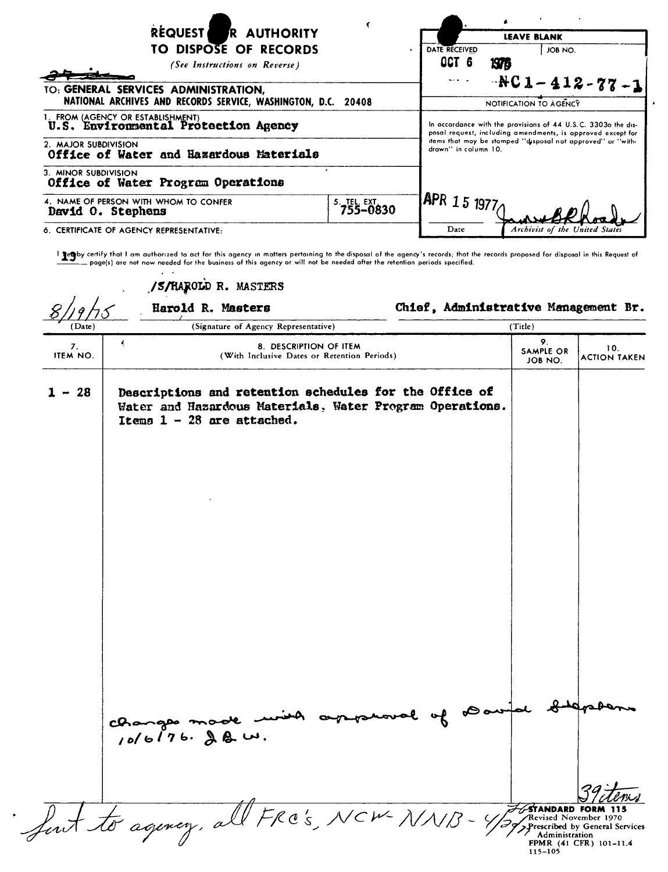| <b>REQUEST</b><br>R AUTHORITY<br>TO DISPOSE OF RECORDS<br>(See Instructions on Reverse)<br>TO: GENERAL SERVICES ADMINISTRATION, | <b>LEAVE BLANK</b><br>DATE RECEIVED<br>JOB NO.<br>$\bullet$<br>OCT 6<br><b>1976</b><br>$-RC1 - 412 - 77 - 1$<br>$\frac{1}{2} \frac{1}{2} \frac{1}{2} \frac{1}{2} \frac{1}{2} \frac{1}{2} \frac{1}{2} \frac{1}{2} \frac{1}{2} \frac{1}{2} \frac{1}{2} \frac{1}{2} \frac{1}{2} \frac{1}{2} \frac{1}{2} \frac{1}{2} \frac{1}{2} \frac{1}{2} \frac{1}{2} \frac{1}{2} \frac{1}{2} \frac{1}{2} \frac{1}{2} \frac{1}{2} \frac{1}{2} \frac{1}{2} \frac{1}{2} \frac{1}{2} \frac{1}{2} \frac{1}{2} \frac{1}{2} \frac{$<br>NOTIFICATION TO AGENCY<br>In accordance with the provisions of 44 U.S.C. 3303o the dis-<br>posal request, including amendments, is approved except for<br>items that may be stamped "disposal not approved" or "with-<br>drawn" in column 10. |      |                                |
|---------------------------------------------------------------------------------------------------------------------------------|---------------------------------------------------------------------------------------------------------------------------------------------------------------------------------------------------------------------------------------------------------------------------------------------------------------------------------------------------------------------------------------------------------------------------------------------------------------------------------------------------------------------------------------------------------------------------------------------------------------------------------------------------------------------------------------------------------------------------------------------------------------|------|--------------------------------|
| NATIONAL ARCHIVES AND RECORDS SERVICE, WASHINGTON, D.C. 20408                                                                   |                                                                                                                                                                                                                                                                                                                                                                                                                                                                                                                                                                                                                                                                                                                                                               |      |                                |
| 1. FROM (AGENCY OR ESTABLISHMENT)<br>U.S. Environmental Protection Agency                                                       |                                                                                                                                                                                                                                                                                                                                                                                                                                                                                                                                                                                                                                                                                                                                                               |      |                                |
| 2. MAJOR SUBDIVISION<br>Office of Water and Hazardous Materials                                                                 |                                                                                                                                                                                                                                                                                                                                                                                                                                                                                                                                                                                                                                                                                                                                                               |      |                                |
| 3. MINOR SUBDIVISION<br>Office of Water Program Operations                                                                      |                                                                                                                                                                                                                                                                                                                                                                                                                                                                                                                                                                                                                                                                                                                                                               |      |                                |
| 4. NAME OF PERSON WITH WHOM TO CONFER<br>David O. Stephens                                                                      | (APR 15 1977                                                                                                                                                                                                                                                                                                                                                                                                                                                                                                                                                                                                                                                                                                                                                  |      |                                |
| 6. CERTIFICATE OF AGENCY REPRESENTATIVE:                                                                                        |                                                                                                                                                                                                                                                                                                                                                                                                                                                                                                                                                                                                                                                                                                                                                               | Date | Archivist of the United States |

and the speaking that I am authorized to act for this agency in matters pertaining to the disposal of the agency's records; that the records proposed for disposal in this Request or all apposed in this Request or all appos

/S/HAROLD R. MASTERS Harold R. Masters The Chief, Administrative Management Br.  $(Date)$ (Signature of Agency Representative) (Title) 9. 10. 19. 10. ITEM S. DESCRIPTION OF ITEM SAMPLE OR 10.<br>ITEM NO. 10. ITEM NO. INCLUSIVE Dates or Retention Periods) JOB NO. ACTION TAKEN 1 - 28 Descriptions and retention schedules for the Office of Water and Hazardous Materials. Water Program Operations. Items  $1 - 28$  are attached. tod changes made unit copperant of *10/ 6 | 7 6.* ﴾ هـ سـ first to agency, all FRO's, NCW-NNB-STANDARD FORM 115 Revised November 1970 *I*Prescribed by General Services / Administration FPMR (41 CFR) 101-11.4 115-105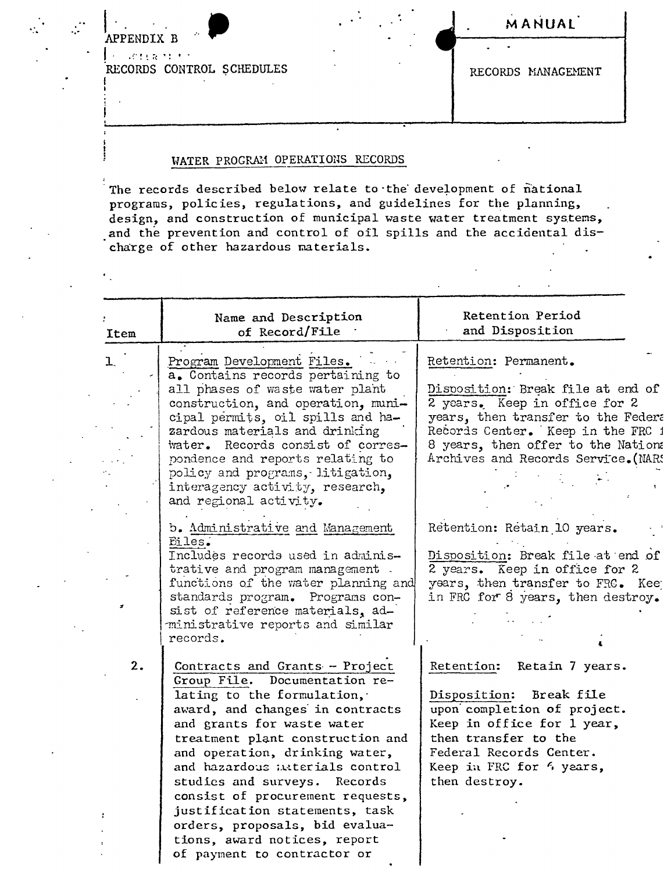Le seria di C RECORDS CONTROL SCHEDULES

APPENDIX B

 $\overline{a}$ 

MANUAL<sup>'</sup>

RECORDS MANAGEMENT

## WATER PROGRAM OPERATIONS RECORDS

The records described below relate to the development of national programs, policies, regulations, and guidelines for the planning, design, and construction of municipal waste water treatment systems, and the prevention and control of oil spills and the accidental discharge of other hazardous materials.

| Item         | Name and Description<br>of Record/File                                                                                                                                                                                                                                                                                                                                                                                                                                         | Retention Period<br>and Disposition                                                                                                                                                                                                                 |
|--------------|--------------------------------------------------------------------------------------------------------------------------------------------------------------------------------------------------------------------------------------------------------------------------------------------------------------------------------------------------------------------------------------------------------------------------------------------------------------------------------|-----------------------------------------------------------------------------------------------------------------------------------------------------------------------------------------------------------------------------------------------------|
| $\mathbf{L}$ | Program Development Files.<br>a. Contains records pertaining to<br>all phases of waste water plant<br>construction, and operation, muni-<br>cipal permits, oil spills and ha-<br>zardous materials and drinking<br>water. Records consist of corres-<br>pondence and reports relating to<br>policy and programs, litigation,<br>interagency activity, research,<br>and regional activity.                                                                                      | Retention: Permanent.<br>Disposition: Break file at end of<br>2 years. Keep in office for 2<br>years, then transfer to the Federa<br>Records Center. Keep in the FRC 1<br>8 years, then offer to the Nation:<br>Archives and Records Service. (NARS |
|              | b. Administrative and Management<br>Eiles.<br>Includes records used in adminis-<br>trative and program management.<br>functions of the water planning and<br>standards program. Programs con-<br>sist of reference materials, ad-<br>ministrative reports and similar<br>records.                                                                                                                                                                                              | Retention: Retain 10 years.<br>Disposition: Break file at end of<br>2 years. Keep in office for 2<br>years, then transfer to FRC. Kee<br>in FRC for 8 years, then destroy.                                                                          |
| 2.           | Contracts and Grants - Project<br>Group File. Documentation re-<br>lating to the formulation,<br>award, and changes in contracts<br>and grants for waste water<br>treatment plant construction and<br>and operation, drinking water,<br>and hazardous interials control<br>studies and surveys. Records<br>consist of procurement requests,<br>justification statements, task<br>orders, proposals, bid evalua-<br>tions, award notices, report<br>of payment to contractor or | Retention:<br>Retain 7 years.<br>Disposition: Break file<br>upon completion of project.<br>Keep in office for 1 year,<br>then transfer to the<br>Federal Records Center.<br>Keep in FRC for 4 years,<br>then destroy.                               |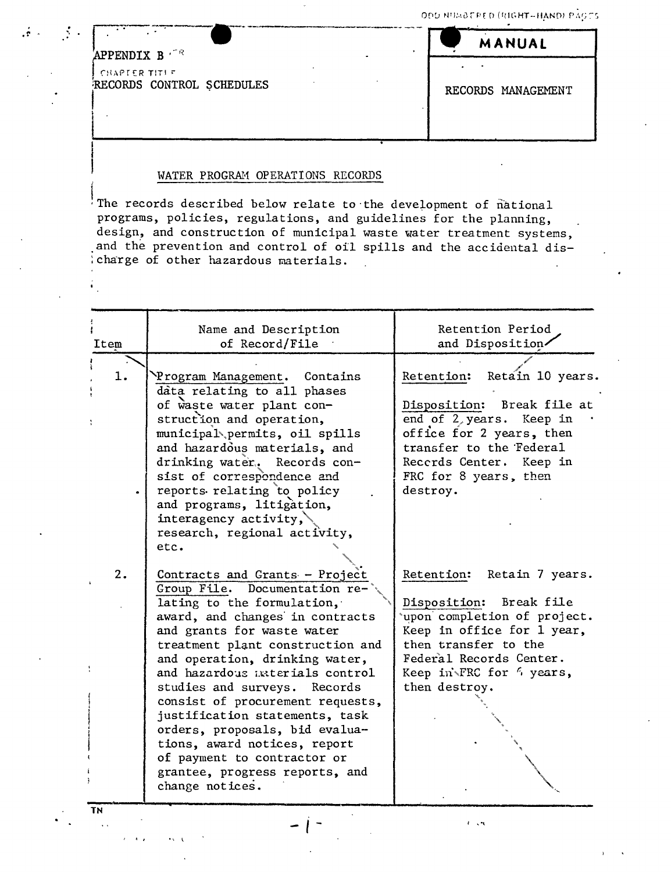| $\mathbf{A}$ |                                            | MANUAL             |
|--------------|--------------------------------------------|--------------------|
|              | APPENDIX B                                 |                    |
|              | CHAPTER TITLE<br>RECORDS CONTROL SCHEDULES | RECORDS MANAGEMENT |

### WATER PROGRAM OPERATIONS RECORDS

Ine records described below relate to the development of national programs, policies, regulations, and guidelines for the planning, design, and construction of municipal waste water treatment systems, and the prevention and control of oil spills and the accidental dis-:charge of other hazardous materials.

| Item     | Name and Description<br>of Record/File                                                                                                                                                                                                                                                                                                                                                                                                                                                                                              | Retention Period<br>and Disposition/                                                                                                                                                                                           |
|----------|-------------------------------------------------------------------------------------------------------------------------------------------------------------------------------------------------------------------------------------------------------------------------------------------------------------------------------------------------------------------------------------------------------------------------------------------------------------------------------------------------------------------------------------|--------------------------------------------------------------------------------------------------------------------------------------------------------------------------------------------------------------------------------|
| 1.       | Program Management. Contains<br>data relating to all phases<br>of waste water plant con-<br>struction and operation,<br>municipal permits, oil spills<br>and hazardous materials, and<br>drinking water. Records con-<br>sist of correspondence and<br>reports relating to policy<br>and programs, litigation,<br>interagency activity,<br>research, regional activity,<br>etc.                                                                                                                                                     | Retain 10 years.<br>Retention:<br>Disposition: Break file at<br>end of 2, years. Keep in<br>office for 2 years, then<br>transfer to the Federal<br>Records Center. Keep in<br>FRC for 8 years, then<br>destroy.                |
| 2.<br>TN | Contracts and Grants - Project<br>Group File. Documentation re-<br>lating to the formulation,<br>award, and changes in contracts<br>and grants for waste water<br>treatment plant construction and<br>and operation, drinking water,<br>and hazardous interials control<br>studies and surveys. Records<br>consist of procurement requests,<br>justification statements, task<br>orders, proposals, bid evalua-<br>tions, award notices, report<br>of payment to contractor or<br>grantee, progress reports, and<br>change notices. | Retention: Retain 7 years.<br>Disposition: Break file<br>upon completion of project.<br>Keep in office for 1 year,<br>then transfer to the<br>Federal Records Center.<br>Keep in FRC for $\frac{1}{2}$ years,<br>then destroy. |

 $I = 1/2$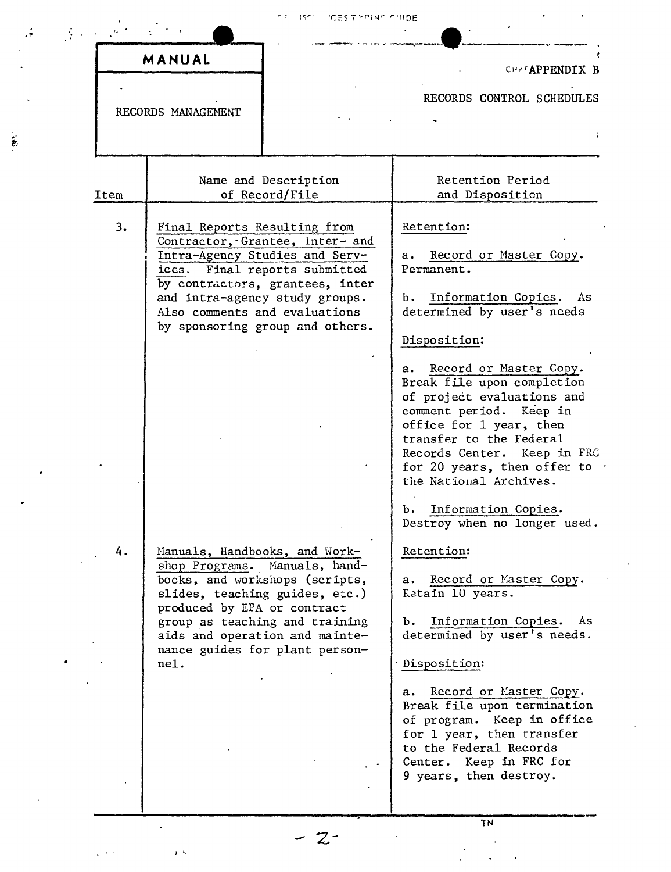|      | MANUAL                                                               |                                                                                                                                                                                                                                             | CHAFAPPENDIX B                                                                                                                                                                                                                                                                                                                                                                                                                                                          |
|------|----------------------------------------------------------------------|---------------------------------------------------------------------------------------------------------------------------------------------------------------------------------------------------------------------------------------------|-------------------------------------------------------------------------------------------------------------------------------------------------------------------------------------------------------------------------------------------------------------------------------------------------------------------------------------------------------------------------------------------------------------------------------------------------------------------------|
|      | RECORDS MANAGEMENT                                                   |                                                                                                                                                                                                                                             | RECORDS CONTROL SCHEDULES                                                                                                                                                                                                                                                                                                                                                                                                                                               |
| Item |                                                                      | Name and Description<br>of Record/File                                                                                                                                                                                                      | Retention Period<br>and Disposition                                                                                                                                                                                                                                                                                                                                                                                                                                     |
| 3.   | Final Reports Resulting from                                         | Contractor, Grantee, Inter- and<br>Intra-Agency Studies and Serv-<br>ices. Final reports submitted<br>by contractors, grantees, inter<br>and intra-agency study groups.<br>Also comments and evaluations<br>by sponsoring group and others. | Retention:<br>Record or Master Copy.<br>а.<br>Permanent.<br>Information Copies. As<br>ъ.<br>determined by user's needs<br>Disposition:<br>a. Record or Master Copy.<br>Break file upon completion<br>of project evaluations and<br>comment period. Keep in<br>office for 1 year, then<br>transfer to the Federal<br>Records Center. Keep in FRC<br>for 20 years, then offer to .<br>the National Archives.<br>Information Copies.<br>b.<br>Destroy when no longer used. |
| 4.   | Manuals, Handbooks, and Work-<br>produced by EPA or contract<br>nel. | shop Programs. Manuals, hand-<br>books, and workshops (scripts,<br>slides, teaching guides, etc.)<br>group as teaching and training<br>aids and operation and mainte-<br>nance guides for plant person-                                     | Retention:<br>a. Record or Master Copy.<br>Ketain 10 years.<br>b. Information Copies.<br>As<br>determined by user's needs.<br>Disposition:<br>Record or Master Copy.<br>a.<br>Break file upon termination<br>of program. Keep in office<br>for 1 year, then transfer<br>to the Federal Records<br>Center. Keep in FRC for<br>9 years, then destroy.                                                                                                                     |

 $\label{eq:2.1} \frac{1}{\sqrt{2}}\left(\frac{1}{\sqrt{2}}\right)^{2} \frac{1}{\sqrt{2}}\left(\frac{1}{\sqrt{2}}\right)^{2}$ 

 $\sqrt{8/2}$  , which is  $\sqrt{18/2}$ 

 $\ddot{\cdot}$ 

 $\frac{1}{\epsilon}$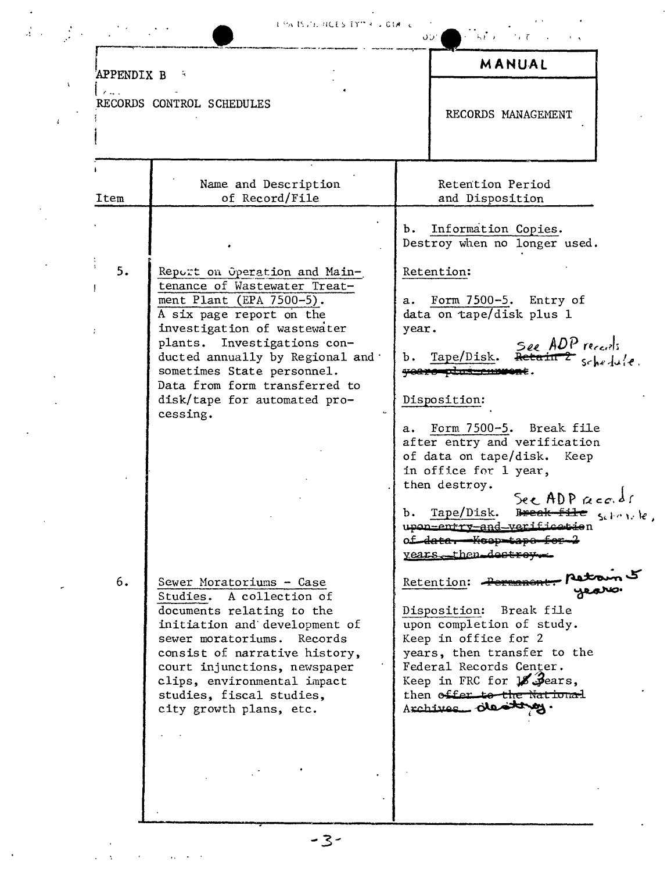| in the trial activity the light in |  |  |
|------------------------------------|--|--|
|------------------------------------|--|--|

|              | <b>APPENDIX B</b>          |                                                                                                                                                                                                                                                                                                                                     | MANUAL                                                                                                                                                                                                                                                                                                                                                                                                                     |
|--------------|----------------------------|-------------------------------------------------------------------------------------------------------------------------------------------------------------------------------------------------------------------------------------------------------------------------------------------------------------------------------------|----------------------------------------------------------------------------------------------------------------------------------------------------------------------------------------------------------------------------------------------------------------------------------------------------------------------------------------------------------------------------------------------------------------------------|
| $\mathbf{A}$ | $\mathcal{L}_{\mathbf{m}}$ | RECORDS CONTROL SCHEDULES                                                                                                                                                                                                                                                                                                           | RECORDS MANAGEMENT                                                                                                                                                                                                                                                                                                                                                                                                         |
|              | Item                       | Name and Description<br>of Record/File                                                                                                                                                                                                                                                                                              | Retention Period<br>and Disposition                                                                                                                                                                                                                                                                                                                                                                                        |
|              |                            |                                                                                                                                                                                                                                                                                                                                     | Information Copies.<br>Ъ.<br>Destroy when no longer used.                                                                                                                                                                                                                                                                                                                                                                  |
|              | 5.                         | Report on Operation and Main-<br>tenance of Wastewater Treat-<br>ment Plant (EPA 7500-5).<br>A six page report on the<br>investigation of wastewater<br>plants. Investigations con-<br>ducted annually by Regional and .<br>sometimes State personnel.<br>Data from form transferred to<br>disk/tape for automated pro-<br>cessing. | Retention:<br>Form 7500-5. Entry of<br>а.<br>data on tape/disk plus 1<br>year.<br>See ADP recents<br>b. Tape/Disk.<br>youround us were<br>Disposition:<br>Form 7500-5. Break file<br>a.<br>after entry and verification<br>of data on tape/disk. Keep<br>in office for 1 year,<br>then destroy.<br>See ADP records<br>Tape/Disk.<br>$b$ .<br>upon-entry-and-verificetion<br>of data. Keep tape for 2<br>years then destroy |
|              | 6.                         | Sewer Moratoriums - Case<br>Studies. A collection of<br>documents relating to the<br>initiation and development of<br>sewer moratoriums.<br>Records<br>consist of narrative history,<br>court injunctions, newspaper<br>clips, environmental impact<br>studies, fiscal studies,<br>city growth plans, etc.                          | Retention:<br>Disposition: Break file<br>upon completion of study.<br>Keep in office for 2<br>years, then transfer to the<br>Federal Records Center.<br>Keep in FRC for 18 Jears,<br>then offer to the National<br>Acchives destances.                                                                                                                                                                                     |

 $\label{eq:2.1} \frac{1}{\left(1+\frac{1}{2}\right)^{2}}\left(\frac{1}{\sqrt{2}}\right)^{2}=\frac{1}{2}\left(\frac{1}{2}\right)^{2}+\frac{1}{2}\left(\frac{1}{2}\right)^{2}+\frac{1}{2}\left(\frac{1}{2}\right)^{2}+\frac{1}{2}\left(\frac{1}{2}\right)^{2}+\frac{1}{2}\left(\frac{1}{2}\right)^{2}+\frac{1}{2}\left(\frac{1}{2}\right)^{2}+\frac{1}{2}\left(\frac{1}{2}\right)^{2}+\frac{1}{2}\left(\frac{1}{2}\right)^{2}+\frac{1}{2}\left(\frac{1$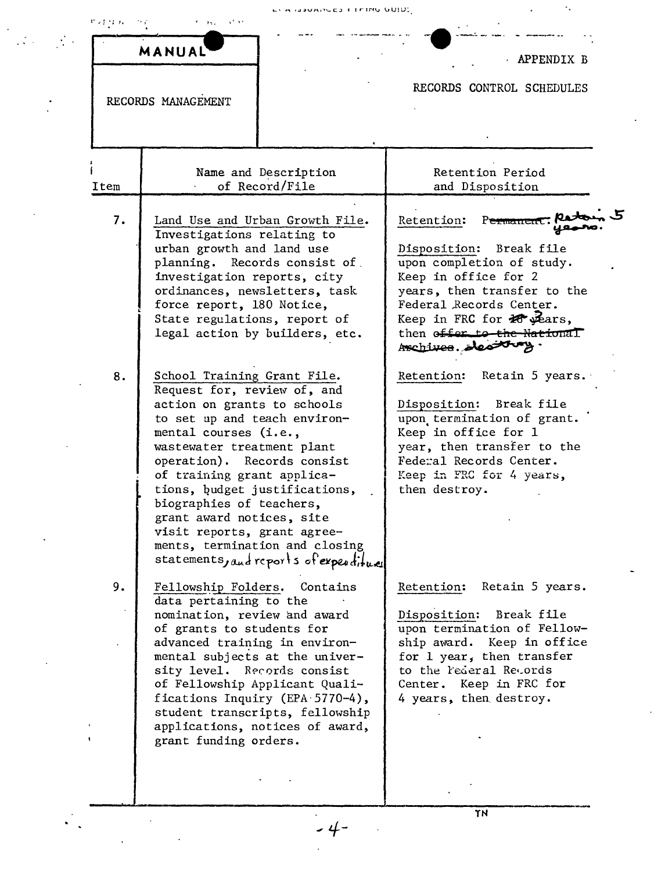|      | MANUAL                                                                                                                                                                                                                                                                                                                                                                                                                                              | APPENDIX B                                                                                                                                                                                                                                                               |
|------|-----------------------------------------------------------------------------------------------------------------------------------------------------------------------------------------------------------------------------------------------------------------------------------------------------------------------------------------------------------------------------------------------------------------------------------------------------|--------------------------------------------------------------------------------------------------------------------------------------------------------------------------------------------------------------------------------------------------------------------------|
|      | RECORDS MANAGEMENT                                                                                                                                                                                                                                                                                                                                                                                                                                  | RECORDS CONTROL SCHEDULES                                                                                                                                                                                                                                                |
| Item | Name and Description<br>of Record/File                                                                                                                                                                                                                                                                                                                                                                                                              | Retention Period<br>and Disposition                                                                                                                                                                                                                                      |
| 7.   | Land Use and Urban Growth File.<br>Investigations relating to<br>urban growth and land use<br>planning. Records consist of<br>investigation reports, city<br>ordinances, newsletters, task<br>force report, 180 Notice,<br>State regulations, report of<br>legal action by builders, etc.                                                                                                                                                           | Permanent: Ratoin 5<br>Retention:<br>Disposition: Break file<br>upon completion of study.<br>Keep in office for 2<br>years, then transfer to the<br>Federal Records Center.<br>Keep in FRC for $\mathcal{H}$ years,<br>then offer to the National<br>Archives. sleating. |
| 8.   | School Training Grant File.<br>Request for, review of, and<br>action on grants to schools<br>to set up and teach environ-<br>mental courses (i.e.,<br>wastewater treatment plant<br>operation). Records consist<br>of training grant applica-<br>tions, budget justifications,<br>biographies of teachers,<br>grant award notices, site<br>visit reports, grant agree-<br>ments, termination and closing<br>statements, and reports of expenditures | Retention:<br>Retain 5 years.<br>Disposition: Break file<br>upon termination of grant.<br>Keep in office for 1<br>year, then transfer to the<br>Federal Records Center.<br>Keep in FRC for 4 years,<br>then destroy.                                                     |
| 9.   | Fellowship Folders.<br>Contains<br>data pertaining to the<br>nomination, review and award<br>of grants to students for<br>advanced training in environ-<br>mental subjects at the univer-<br>sity level. Records consist<br>of Fellowship Applicant Quali-<br>fications Inquiry (EPA 5770-4),<br>student transcripts, fellowship<br>applications, notices of award,<br>grant funding orders.                                                        | Retention:<br>Retain 5 years.<br>Disposition: Break file<br>upon termination of Fellow-<br>ship award. Keep in office<br>for 1 year, then transfer<br>to the rederal Records<br>Center. Keep in FRC for<br>4 years, then destroy.                                        |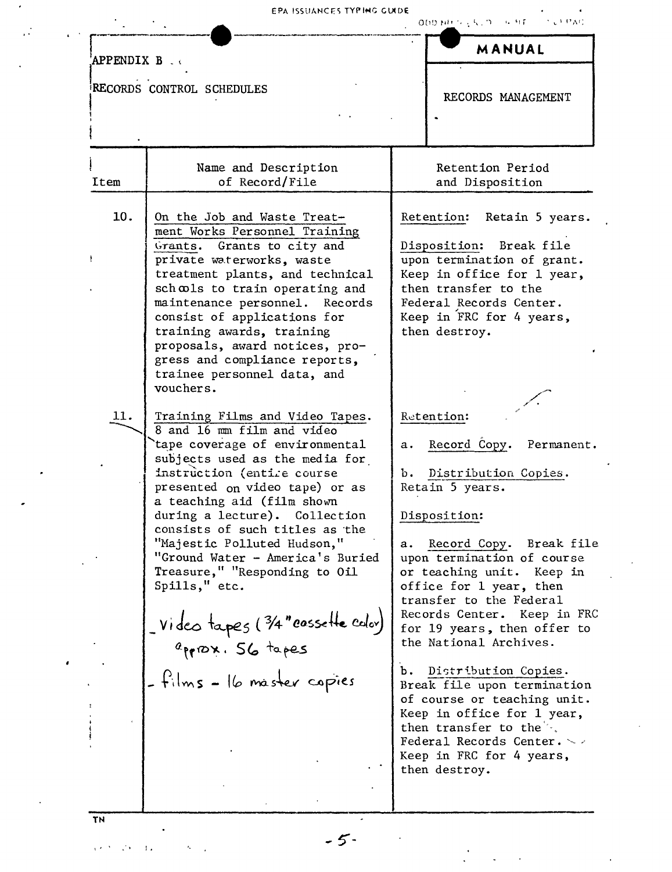| <b>APPENDIX B.W</b> |                                                                                                                                                                                                                                                                                                                                                                                                                                                                                                                                                                                                                                                                                                                                                                                                                                                                                                         | MANUAL                                                                                                                                                                                                                                                                                                                                                                                                                                                                                                                                                                                                                                                                                                                                                                                                          |
|---------------------|---------------------------------------------------------------------------------------------------------------------------------------------------------------------------------------------------------------------------------------------------------------------------------------------------------------------------------------------------------------------------------------------------------------------------------------------------------------------------------------------------------------------------------------------------------------------------------------------------------------------------------------------------------------------------------------------------------------------------------------------------------------------------------------------------------------------------------------------------------------------------------------------------------|-----------------------------------------------------------------------------------------------------------------------------------------------------------------------------------------------------------------------------------------------------------------------------------------------------------------------------------------------------------------------------------------------------------------------------------------------------------------------------------------------------------------------------------------------------------------------------------------------------------------------------------------------------------------------------------------------------------------------------------------------------------------------------------------------------------------|
|                     | RECORDS CONTROL SCHEDULES                                                                                                                                                                                                                                                                                                                                                                                                                                                                                                                                                                                                                                                                                                                                                                                                                                                                               | RECORDS MANAGEMENT                                                                                                                                                                                                                                                                                                                                                                                                                                                                                                                                                                                                                                                                                                                                                                                              |
| Item                | Name and Description<br>of Record/File                                                                                                                                                                                                                                                                                                                                                                                                                                                                                                                                                                                                                                                                                                                                                                                                                                                                  | Retention Period<br>and Disposition                                                                                                                                                                                                                                                                                                                                                                                                                                                                                                                                                                                                                                                                                                                                                                             |
| 10.<br>11.          | On the Job and Waste Treat-<br>ment Works Personnel Training<br>Grants. Grants to city and<br>private waterworks, waste<br>treatment plants, and technical<br>schools to train operating and<br>maintenance personnel. Records<br>consist of applications for<br>training awards, training<br>proposals, award notices, pro-<br>gress and compliance reports,<br>trainee personnel data, and<br>vouchers.<br>Training Films and Video Tapes.<br>8 and 16 mm film and video<br>tape coverage of environmental<br>subjects used as the media for<br>instruction (entire course<br>presented on video tape) or as<br>a teaching aid (film shown<br>during a lecture). Collection<br>consists of such titles as the<br>"Majestic Polluted Hudson,"<br>"Ground Water - America's Buried<br>Treasure," "Responding to Oil<br>Spills," etc.<br>Video tapes (3/4" casselle color)<br>- films - 16 master capies | Retention:<br>Retain 5 years.<br>Disposition: Break file<br>upon termination of grant.<br>Keep in office for 1 year,<br>then transfer to the<br>Federal Records Center.<br>Keep in FRC for 4 years,<br>then destroy.<br>Retention:<br>Record Copy.<br>Permanent.<br>а.<br>Distribution Copies.<br>ъ.<br>Retain 5 years.<br>Disposition:<br>Record Copy. Break file<br>а.<br>upon termination of course<br>or teaching unit. Keep in<br>office for 1 year, then<br>transfer to the Federal<br>Records Center. Keep in FRC<br>for 19 years, then offer to<br>the National Archives.<br>Distribution Copies.<br>Ъ.<br>Break file upon termination<br>of course or teaching unit.<br>Keep in office for 1 year,<br>then transfer to the<br>Federal Records Center. ~ ><br>Keep in FRC for 4 years,<br>then destroy. |

 $\cdot$ 

 $\mathbb{R}^2$ 

 $\ddot{\phantom{0}}$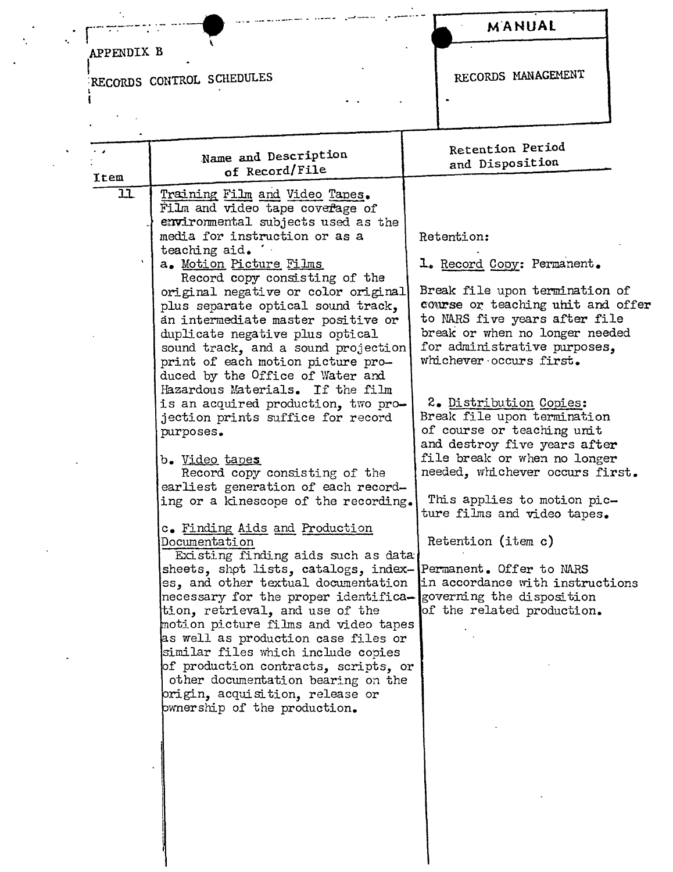# --<del>---------</del>--APPENDIX B

 $\sim 10^{11}$ 

 $\mathcal{A}_1$ 

 $\mathbf{L}^{\text{eff}}$ 

ŧ

RECORDS CONTROL SCHEDULES

 $\mathbf{L}$ 

and and allowed the control of the state

MANUAL

RECORDS MANAGEMENT

| . .<br>Item | Name and Description<br>of Record/File                                                                                                                                                                                                                                                                                                                                                                                                                                                                | Retention Period<br>and Disposition                                                                                                                                                               |
|-------------|-------------------------------------------------------------------------------------------------------------------------------------------------------------------------------------------------------------------------------------------------------------------------------------------------------------------------------------------------------------------------------------------------------------------------------------------------------------------------------------------------------|---------------------------------------------------------------------------------------------------------------------------------------------------------------------------------------------------|
| 11          | Training Film and Video Tapes.<br>Film and video tape coverage of                                                                                                                                                                                                                                                                                                                                                                                                                                     |                                                                                                                                                                                                   |
|             | environmental subjects used as the<br>media for instruction or as a<br>teaching aid.                                                                                                                                                                                                                                                                                                                                                                                                                  | Retention:                                                                                                                                                                                        |
|             | a. Motion Picture Films<br>Record copy consisting of the                                                                                                                                                                                                                                                                                                                                                                                                                                              | 1. Record Copy: Permanent.                                                                                                                                                                        |
|             | original negative or color original<br>plus separate optical sound track,<br>an intermediate master positive or<br>duplicate negative plus optical<br>sound track, and a sound projection<br>print of each motion picture pro-                                                                                                                                                                                                                                                                        | Break file upon termination of<br>course or teaching uhit and offer<br>to NARS five years after file<br>break or when no longer needed<br>for administrative purposes,<br>whichever occurs first. |
|             | duced by the Office of Water and<br>Hazardous Materials. If the film<br>is an acquired production, two pro-<br>jection prints suffice for record<br>purposes.<br>b. Video tapes                                                                                                                                                                                                                                                                                                                       | 2. Distribution Copies:<br>Break file upon termination<br>of course or teaching unit<br>and destroy five years after<br>file break or when no longer                                              |
|             | Record copy consisting of the<br>earliest generation of each record-<br>ing or a kinescope of the recording.                                                                                                                                                                                                                                                                                                                                                                                          | needed, whichever occurs first.<br>This applies to motion pic-<br>ture films and video tapes.                                                                                                     |
|             | c. Finding Aids and Production<br>Documentation<br>Existing finding aids such as data<br>sheets, shot lists, catalogs, index-[Permanent. Offer to MARS<br>es, and other textual documentation<br>necessary for the proper identifica- governing the disposition<br>tion, retrieval, and use of the<br>motion picture films and video tapes<br>as well as production case files or<br>similar files which include copies<br>of production contracts, scripts, or<br>other documentation bearing on the | Retention (item c)<br>in accordance with instructions<br>of the related production.                                                                                                               |
|             | origin, acquisition, release or<br>pwnership of the production.                                                                                                                                                                                                                                                                                                                                                                                                                                       |                                                                                                                                                                                                   |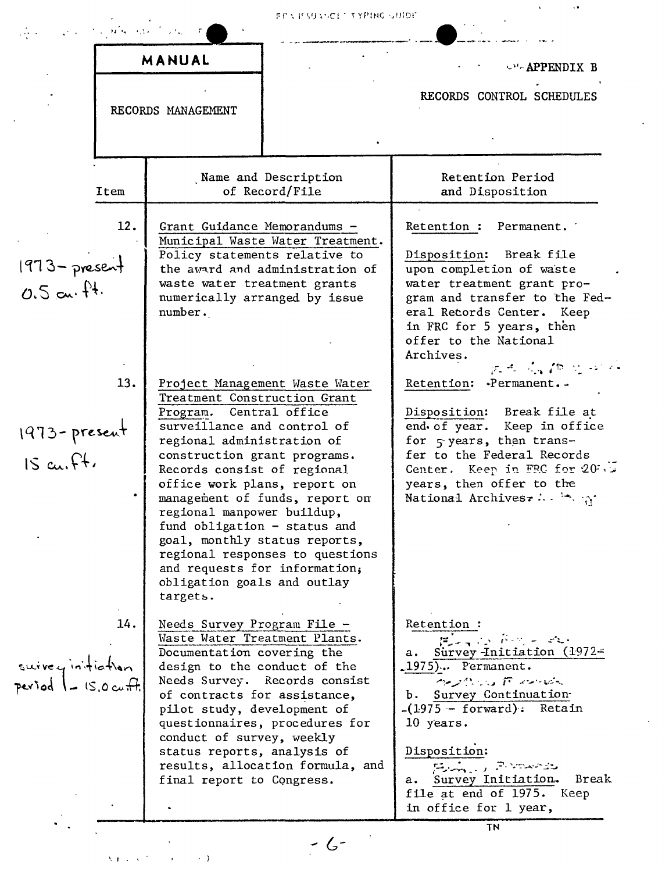|                                           |             | Construction of the company of the construction                                                                                                                                                                                                                                                                                                                                                  | ern estance i typing unide                                                                          |                                                                                                                                                                                                                                                                                                                               |
|-------------------------------------------|-------------|--------------------------------------------------------------------------------------------------------------------------------------------------------------------------------------------------------------------------------------------------------------------------------------------------------------------------------------------------------------------------------------------------|-----------------------------------------------------------------------------------------------------|-------------------------------------------------------------------------------------------------------------------------------------------------------------------------------------------------------------------------------------------------------------------------------------------------------------------------------|
|                                           |             | MANUAL<br>RECORDS MANAGEMENT                                                                                                                                                                                                                                                                                                                                                                     |                                                                                                     | <b>CH-APPENDIX B</b><br>RECORDS CONTROL SCHEDULES                                                                                                                                                                                                                                                                             |
|                                           |             |                                                                                                                                                                                                                                                                                                                                                                                                  | Name and Description                                                                                | Retention Period                                                                                                                                                                                                                                                                                                              |
| $1973 - present$<br>$0.5$ cu, $\hat{H}$ . | Item<br>12. | Grant Guidance Memorandums -<br>Policy statements relative to<br>waste water treatment grants<br>numerically arranged by issue<br>number.                                                                                                                                                                                                                                                        | of Record/File<br>Municipal Waste Water Treatment.<br>the award and administration of               | and Disposition<br>Retention:<br>Permanent.<br>Disposition:<br>Break file<br>upon completion of waste<br>water treatment grant pro-<br>gram and transfer to the Fed-<br>eral Records Center. Keep<br>in FRC for 5 years, then<br>offer to the National                                                                        |
| $1973$ - present<br>$15$ cu, ft,          | 13.         | Treatment Construction Grant<br>Program. Central office<br>surveillance and control of<br>regional administration of<br>construction grant programs.<br>Records consist of regional<br>office work plans, report on<br>regional manpower buildup,<br>fund obligation $-$ status and<br>goal, monthly status reports,<br>and requests for information,<br>obligation goals and outlay<br>targets. | Project Management Waste Water<br>management of funds, report on<br>regional responses to questions | Archives.<br>ティーム 作 カー<br>Retention: Permanent. -<br>Disposition:<br>Break file at<br>end of year. Keep in office<br>for $\varsigma$ years, then trans-<br>fer to the Federal Records<br>Center. Keep in FRC for 20%.<br>years, then offer to the<br>National Archives $\cdots$ $\cdots$                                      |
| suivey initiation<br>period - 15.0 cuff.  | 14.         | Needs Survey Program File -<br>Waste Water Treatment Plants.<br>Documentation covering the<br>design to the conduct of the<br>of contracts for assistance,<br>pilot study, development of<br>conduct of survey, weekly<br>status reports, analysis of<br>final report to Congress.                                                                                                               | Needs Survey. Records consist<br>questionnaires, procedures for<br>results, allocation formula, and | Retention:<br>$F_{\rm{max}}$ is find a set<br>a. Survey-Initiation (1972-<br>1975). Permanent.<br>へんかい ドラーバー<br>b. Survey Continuation-<br>$-(1975 - forward)$ : Retain<br>10 years.<br>Disposition:<br>المتحصصة والمراري وللدارقة<br>Survey Initiation.<br>Break<br>а.<br>file at end of 1975. Keep<br>in office for 1 year, |
|                                           |             |                                                                                                                                                                                                                                                                                                                                                                                                  |                                                                                                     | <b>TN</b>                                                                                                                                                                                                                                                                                                                     |

 $\mathcal{A}^{\text{max}}$ 

 $\lambda_{\rm{max}}$ 

 $\label{eq:1} \chi_{\mathbf{F},\mathbf{F},\mathbf{S}}(\mathbf{x}) = \frac{1}{\sqrt{2\pi}}\sum_{i=1}^{\infty} \frac{1}{\sqrt{2\pi}}\sum_{i=1}^{\infty} \frac{1}{\sqrt{2\pi}}\sum_{i=1}^{\infty} \frac{1}{\sqrt{2\pi}}\sum_{i=1}^{\infty} \frac{1}{\sqrt{2\pi}}\sum_{i=1}^{\infty} \frac{1}{\sqrt{2\pi}}\sum_{i=1}^{\infty} \frac{1}{\sqrt{2\pi}}\sum_{i=1}^{\infty} \frac{1}{\sqrt{2\pi}}\sum_{i=1$ 

 $-6-$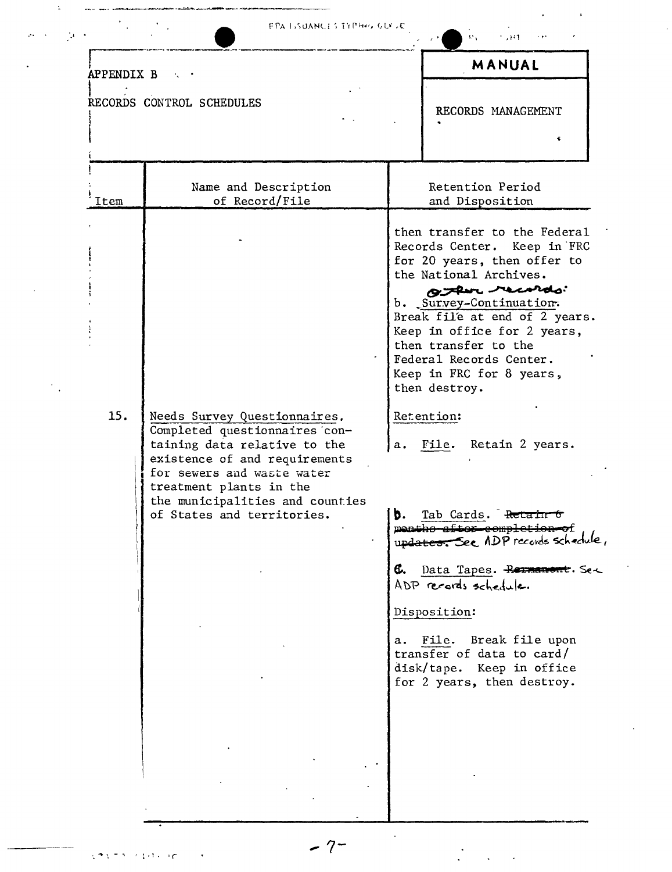| <b>EPA LISUANCES TYPHOLOGICAL</b> |  |  |
|-----------------------------------|--|--|
|-----------------------------------|--|--|

| $\mathbf{t}$ | $+ 347$ | 1.11 |
|--------------|---------|------|

 $\frac{1}{2}$ 

|            |                                                                                                                                                                                         |        | MANUAL                                                                                                                                                                                                                                                                                                                                                                        |
|------------|-----------------------------------------------------------------------------------------------------------------------------------------------------------------------------------------|--------|-------------------------------------------------------------------------------------------------------------------------------------------------------------------------------------------------------------------------------------------------------------------------------------------------------------------------------------------------------------------------------|
| APPENDIX B |                                                                                                                                                                                         |        |                                                                                                                                                                                                                                                                                                                                                                               |
|            | RECORDS CONTROL SCHEDULES                                                                                                                                                               |        | RECORDS MANAGEMENT                                                                                                                                                                                                                                                                                                                                                            |
|            |                                                                                                                                                                                         |        |                                                                                                                                                                                                                                                                                                                                                                               |
| Item       | Name and Description<br>of Record/File                                                                                                                                                  |        | Retention Period<br>and Disposition                                                                                                                                                                                                                                                                                                                                           |
| 15.        | Needs Survey Questionnaires.<br>Completed questionnaires con-<br>taining data relative to the<br>existence of and requirements<br>for sewers and waste water<br>treatment plants in the |        | then transfer to the Federal<br>Records Center. Keep in FRC<br>for 20 years, then offer to<br>the National Archives.<br>O there records:<br>b. Survey-Continuation.<br>Break file at end of 2 years.<br>Keep in office for 2 years,<br>then transfer to the<br>Federal Records Center.<br>Keep in FRC for 8 years,<br>then destroy.<br>Retention:<br>a. File. Retain 2 years. |
|            | the municipalities and counties<br>of States and territories.                                                                                                                           | 1 b. l | Tab Cards.<br>सेटाव<br>menths after completion of<br>updates. See ADP records schedule,                                                                                                                                                                                                                                                                                       |
|            |                                                                                                                                                                                         |        | 6. Data Tapes. Remement. Set<br>ADP records schedule.                                                                                                                                                                                                                                                                                                                         |
|            |                                                                                                                                                                                         |        | Disposition:<br>a. File. Break file upon<br>transfer of data to card/<br>disk/tape. Keep in office<br>for 2 years, then destroy.                                                                                                                                                                                                                                              |
|            |                                                                                                                                                                                         |        |                                                                                                                                                                                                                                                                                                                                                                               |
|            |                                                                                                                                                                                         |        |                                                                                                                                                                                                                                                                                                                                                                               |

 $-7-$ 

 $\frac{1}{\sqrt{2}}\left(\frac{1}{\sqrt{2}}\right)^{2}=\frac{1}{2}\left(\frac{1}{\sqrt{2}}\right)^{2}$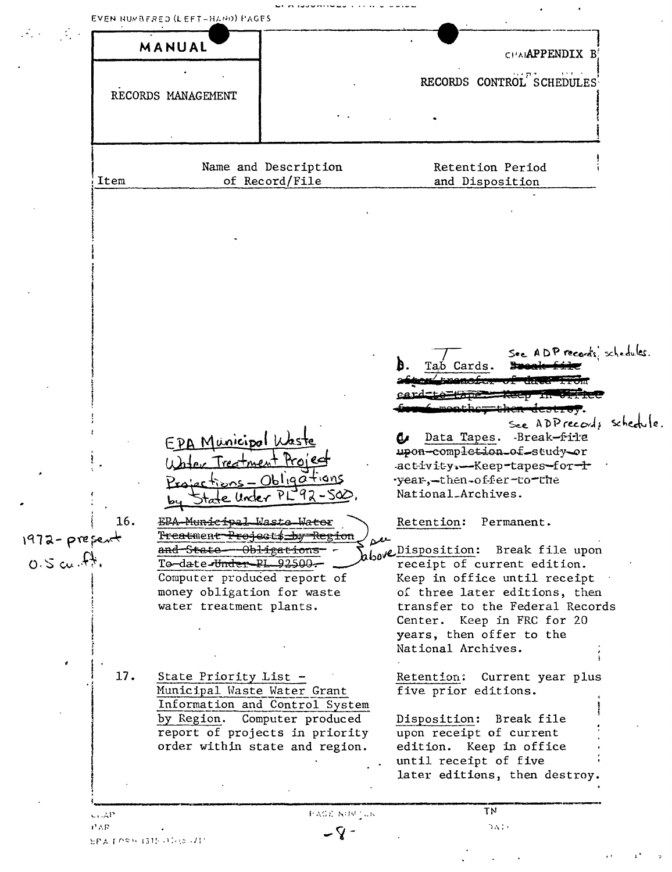| CHARPPENDIX B                                                                                                                                                                                                                        | MANUAL                                                                     |                  |
|--------------------------------------------------------------------------------------------------------------------------------------------------------------------------------------------------------------------------------------|----------------------------------------------------------------------------|------------------|
|                                                                                                                                                                                                                                      |                                                                            |                  |
| RECORDS CONTROL SCHEDULES                                                                                                                                                                                                            |                                                                            |                  |
|                                                                                                                                                                                                                                      | RECORDS MANAGEMENT                                                         |                  |
|                                                                                                                                                                                                                                      |                                                                            |                  |
|                                                                                                                                                                                                                                      |                                                                            |                  |
|                                                                                                                                                                                                                                      |                                                                            |                  |
| Name and Description<br>Retention Period<br>of Record/File<br>and Disposition                                                                                                                                                        |                                                                            | Item             |
|                                                                                                                                                                                                                                      |                                                                            |                  |
| See ADP records, schedules.<br>Tab Cards.<br>1696107.<br>See ADPrecords schedule<br>-Break-file<br>Data Tapes.<br>ω<br>upon-completion_of_study-or<br>activity. -- Keep-tapes-for-<br>-year,-then-offer-to-the<br>National_Archives. | EPA Municipal Wast<br>Water Treatment Project<br>Projections - Obligations |                  |
|                                                                                                                                                                                                                                      | State Under                                                                |                  |
| Retention: Permanent.                                                                                                                                                                                                                | EPA-Municipal Waste Water                                                  | 16.              |
|                                                                                                                                                                                                                                      |                                                                            | $1972 - prepeak$ |
| <del>Treat</del> men <del>t Project\$_by Region</del><br>سعمه                                                                                                                                                                        | and-State-Obligations                                                      |                  |
| blove Disposition: Break file upon<br>receipt of current edition.                                                                                                                                                                    | To-date-Under-PL 92500-                                                    | $0.5$ cu. ft.    |
| Keep in office until receipt                                                                                                                                                                                                         | Computer produced report of                                                |                  |
| of three later editions, then                                                                                                                                                                                                        | money obligation for waste                                                 |                  |
| transfer to the Federal Records                                                                                                                                                                                                      | water treatment plants.                                                    |                  |
| Center. Keep in FRC for 20                                                                                                                                                                                                           |                                                                            |                  |
| years, then offer to the<br>National Archives.                                                                                                                                                                                       |                                                                            |                  |
|                                                                                                                                                                                                                                      |                                                                            |                  |
| Retention:<br>Current year plus<br>five prior editions.                                                                                                                                                                              | State Priority List -<br>Municipal Waste Water Grant                       | 17.              |
| Information and Control System                                                                                                                                                                                                       |                                                                            |                  |
| Computer produced<br>Disposition:<br>Break file                                                                                                                                                                                      | by Region.                                                                 |                  |
| report of projects in priority<br>upon receipt of current<br>edition. Keep in office                                                                                                                                                 | order within state and region.                                             |                  |
| until receipt of five                                                                                                                                                                                                                |                                                                            |                  |
| later editions, then destroy.                                                                                                                                                                                                        |                                                                            |                  |
|                                                                                                                                                                                                                                      |                                                                            |                  |

 $\frac{1}{2} \left( \frac{1}{2} \right)$  ,  $\frac{1}{2} \left( \frac{1}{2} \right)$  ,  $\frac{1}{2} \left( \frac{1}{2} \right)$ 

 $\pm$   $^{\star}$ 

 $\sim$   $\sim$ 

 $\mathbf{r}$  .

 $\ddot{\phantom{a}}$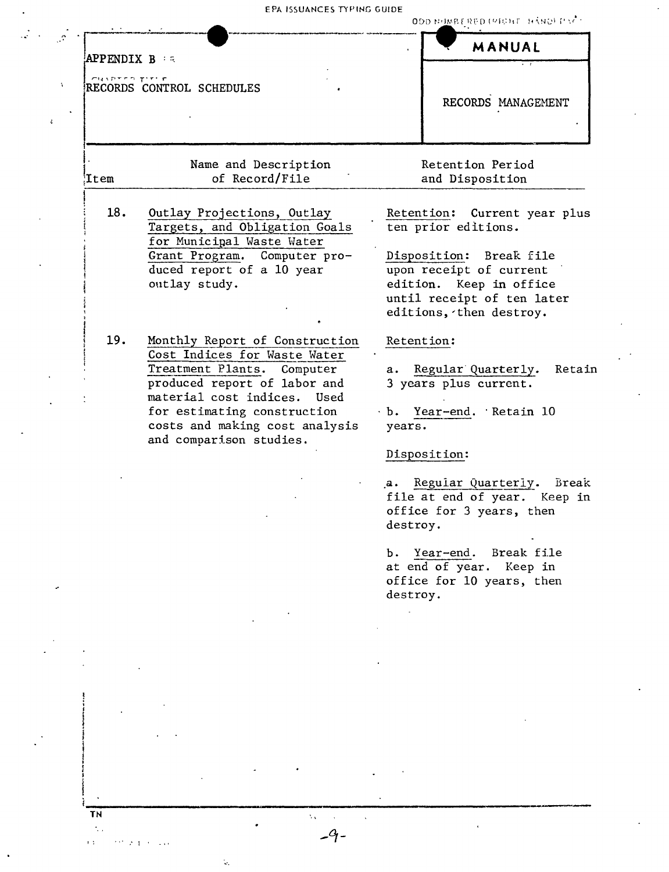EPA ISSUANCES TYPING GUIDE

|                                                                    |                                        | ٠.                                  |
|--------------------------------------------------------------------|----------------------------------------|-------------------------------------|
| <b>APPENDIX B</b> is<br>CHAPTED TITLE<br>RECORDS CONTROL SCHEDULES |                                        | MANUAL<br>RECORDS MANAGEMENT        |
| .tem                                                               | Name and Description<br>of Record/File | Retention Period<br>and Disposition |

18. Outlay Projections, Outlay Targets, and Obligation Goals for Municipal Waste Water Grant Program. Computer produced report of a 10 year outlay study.

19. Monthly Report of Construction Cost Indices for Waste Water Treatment Plants. Computer produced report of labor and material cost indices. Used for estimating construction costs and making cost analysis and comparison studies.

Retention: Current year plus ten prior editions.

**ODD HUMBERED (PICHT HAND) PACT** 

Disposition: Break file upon receipt of current edition. Keep in office until receipt of ten later editions, then destroy.

### Retention:

a. Regular Quarterly. Retain 3 years plus current.

b. Year-end. Retain 10 years.

#### Disposition:

a. Regular Quarterly. Break file at end of year. Keep in office for 3 years, then destroy.

b. Year-end. Break file at end of year. Keep in office for 10 years, then destroy.

 $\Delta_{\rm{max}}$ 

TN

 $2.1 - 1.2$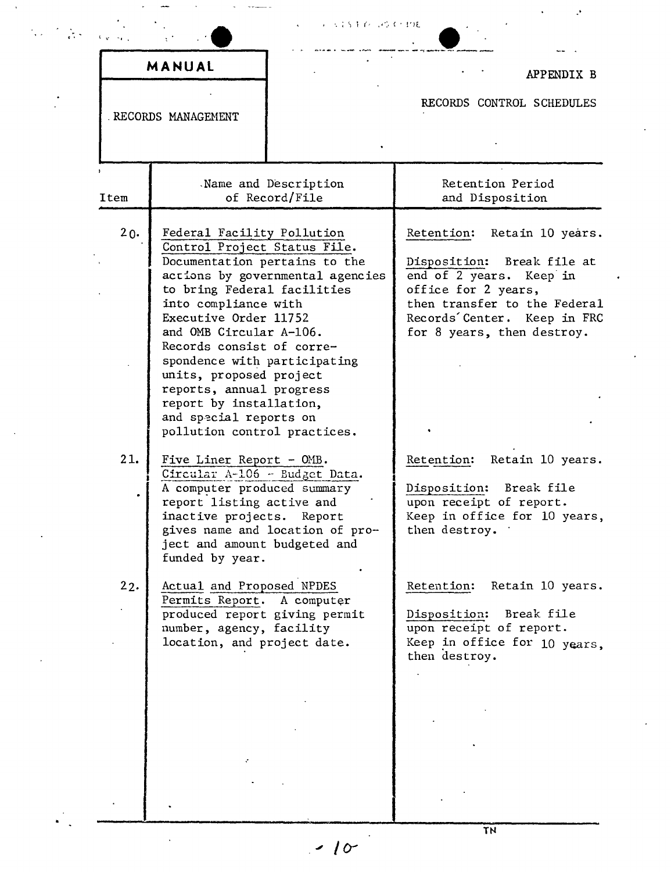|        |                                                                                                                                                                                                                                                                                                                                                                                                                 | こうこく トイパンクス・エクモ                        |                                                                                                                                                                                                                   |
|--------|-----------------------------------------------------------------------------------------------------------------------------------------------------------------------------------------------------------------------------------------------------------------------------------------------------------------------------------------------------------------------------------------------------------------|----------------------------------------|-------------------------------------------------------------------------------------------------------------------------------------------------------------------------------------------------------------------|
|        | MANUAL                                                                                                                                                                                                                                                                                                                                                                                                          |                                        | APPENDIX B                                                                                                                                                                                                        |
|        | RECORDS MANAGEMENT                                                                                                                                                                                                                                                                                                                                                                                              |                                        | RECORDS CONTROL SCHEDULES                                                                                                                                                                                         |
| Item   |                                                                                                                                                                                                                                                                                                                                                                                                                 | Name and Description<br>of Record/File | Retention Period<br>and Disposition                                                                                                                                                                               |
| $20 -$ | Federal Facility Pollution<br>Control Project Status File.<br>Documentation pertains to the<br>to bring Federal facilities<br>into compliance with<br>Executive Order 11752<br>and OMB Circular A-106.<br>Records consist of corre-<br>spondence with participating<br>units, proposed project<br>reports, annual progress<br>report by installation,<br>and special reports on<br>pollution control practices. | actions by governmental agencies       | Retention:<br>Retain 10 years.<br>Disposition:<br>Break file at<br>end of 2 years.<br>Keep in<br>office for 2 years,<br>then transfer to the Federal<br>Records'Center. Keep in FRC<br>for 8 years, then destroy. |
| 21.    | Five Liner Report - OMB.<br>Circular A-106 - Budget Data.<br>A computer produced summary<br>report listing active and<br>inactive projects. Report<br>ject and amount budgeted and<br>funded by year.                                                                                                                                                                                                           | gives name and location of pro-        | Retain 10 years.<br>Retention:<br>Disposition: Break file<br>upon receipt of report.<br>Keep in office for 10 years,<br>then destroy.                                                                             |
| 22.    | Actual and Proposed NPDES<br>Permits Report.<br>produced report giving permit<br>number, agency, facility<br>location, and project date.                                                                                                                                                                                                                                                                        | A computer                             | Retain 10 years.<br>Retention:<br>Disposition:<br>Break file<br>upon receipt of report.<br>Keep in office for 10 years.<br>then destroy.                                                                          |
|        |                                                                                                                                                                                                                                                                                                                                                                                                                 |                                        |                                                                                                                                                                                                                   |

*.'" 10-*

 $\ddot{\phantom{0}}$ 

 $\mathbb{R}^2$ 

 $\hat{\mathbf{r}}$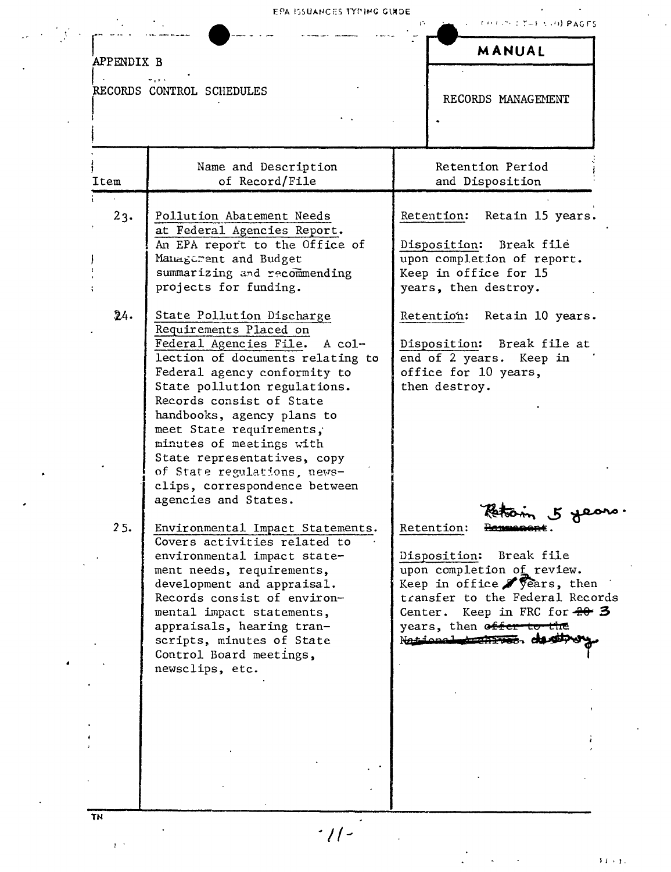| <b>APPENDIX B</b> |                                                                                                                                                                                                                                                                                                                                                                                                                                   | MANUAL                                                                                                                                                                                                                           |
|-------------------|-----------------------------------------------------------------------------------------------------------------------------------------------------------------------------------------------------------------------------------------------------------------------------------------------------------------------------------------------------------------------------------------------------------------------------------|----------------------------------------------------------------------------------------------------------------------------------------------------------------------------------------------------------------------------------|
|                   | RECORDS CONTROL SCHEDULES                                                                                                                                                                                                                                                                                                                                                                                                         | RECORDS MANAGEMENT                                                                                                                                                                                                               |
| Item              | Name and Description<br>of Record/File                                                                                                                                                                                                                                                                                                                                                                                            | Retention Period<br>and Disposition                                                                                                                                                                                              |
| 23.               | Pollution Abatement Needs<br>at Federal Agencies Report.<br>An EPA report to the Office of<br>Managerent and Budget<br>summarizing and recommending<br>projects for funding.                                                                                                                                                                                                                                                      | Retain 15 years.<br>Retention:<br>Disposition: Break file<br>upon completion of report.<br>Keep in office for 15<br>years, then destroy.                                                                                         |
| 24.               | State Pollution Discharge<br>Requirements Placed on<br>Federal Agencies File. A col-<br>lection of documents relating to<br>Federal agency conformity to<br>State pollution regulations.<br>Records consist of State<br>handbooks, agency plans to<br>meet State requirements,<br>minutes of meetings with<br>State representatives, copy<br>of State regulations, news-<br>clips, correspondence between<br>agencies and States. | Retention:<br>Retain 10 years.<br>Disposition: Break file at<br>end of 2 years. Keep in<br>office for 10 years,<br>then destroy.<br>$5 \text{ g}$                                                                                |
| 25.               | Environmental Impact Statements.<br>Covers activities related to<br>environmental impact state-<br>ment needs, requirements,<br>development and appraisal.<br>Records consist of environ-<br>mental impact statements,<br>appraisals, hearing tran-<br>scripts, minutes of State<br>Control Board meetings,<br>newsclips, etc.                                                                                                    | Retention:<br>Disposition: Break file<br>upon completion of review.<br>Keep in office Sears, then<br>transfer to the Federal Records<br>Center. Keep in FRC for $20$ 3<br>years, then offer to the<br>National transvess destity |
|                   |                                                                                                                                                                                                                                                                                                                                                                                                                                   |                                                                                                                                                                                                                                  |

 $\label{eq:3.1} \frac{1}{\sqrt{2\pi}}\int_{\mathbb{R}^{2}}\frac{1}{\sqrt{2\pi}}\int_{\mathbb{R}^{2}}\frac{1}{\sqrt{2\pi}}\int_{\mathbb{R}^{2}}\frac{1}{\sqrt{2\pi}}\int_{\mathbb{R}^{2}}\frac{1}{\sqrt{2\pi}}\int_{\mathbb{R}^{2}}\frac{1}{\sqrt{2\pi}}\int_{\mathbb{R}^{2}}\frac{1}{\sqrt{2\pi}}\int_{\mathbb{R}^{2}}\frac{1}{\sqrt{2\pi}}\int_{\mathbb{R}^{2}}\frac{1}{\sqrt{2\pi}}\int_{\mathbb{$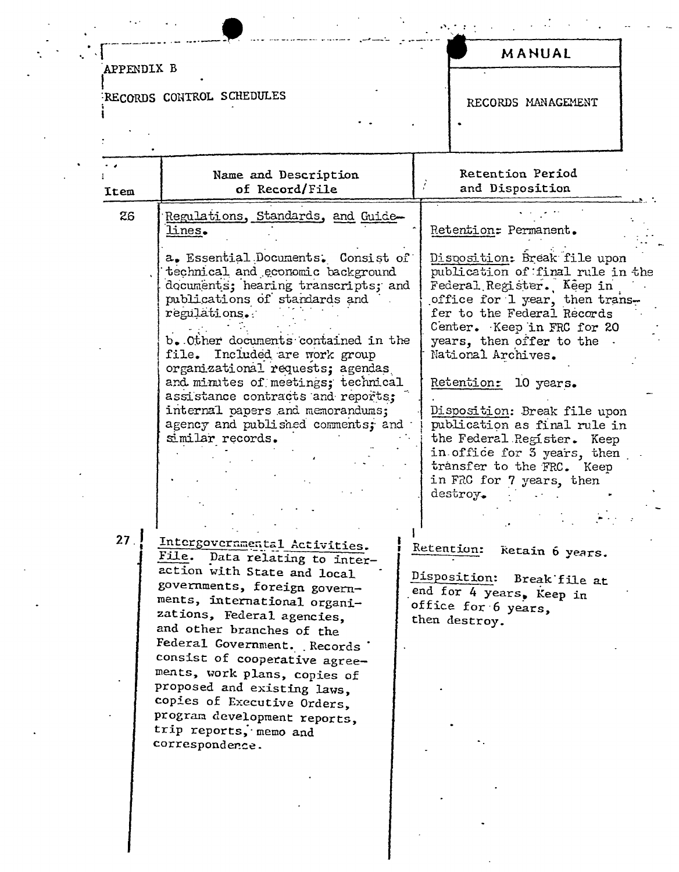#### APPENDIX B RECORDS CONTROL SCHEDULES RECORDS MANAGEMENT Retention Period Name and Description of Record/File and Disposition Item 26 Regulations, Standards, and Guidelines. Retention: Permanent. a. Essential Documents. Consist of Disposition: Break file upon technical and economic background publication of final rule in the documents; hearing transcripts; and Federal Register. Keep in publications of standards and office for 1 year, then transfer to the Federal Records regulations. Center. Keep in FRC for 20

b. Other documents contained in the file. Included are work group organizational requests: agendas and minutes of meetings; technical assistance contracts and reports: internal papers and memorandums: agency and published comments: and similar records.

 $27<sub>1</sub>$ 

Intergovernmental Activities. File. Data relating to interaction with State and local governments, foreign governments, international organizations, Federal agencies, and other branches of the Federal Government. Records consist of cooperative agreements, work plans, copies of proposed and existing laws, copies of Executive Orders, program development reports, trip reports, memo and correspondence.

# Retention: 10 years.

National Archives.

years, then offer to the .

Disposition: Break file upon publication as final rule in the Federal Register. Keep in office for 3 years, then transfer to the FRC. Keep in FRC for 7 years, then destroy.

MANUAL

Retention: Retain 6 years.

Disposition: Break file at end for 4 years, Keep in office for 6 years, then destroy.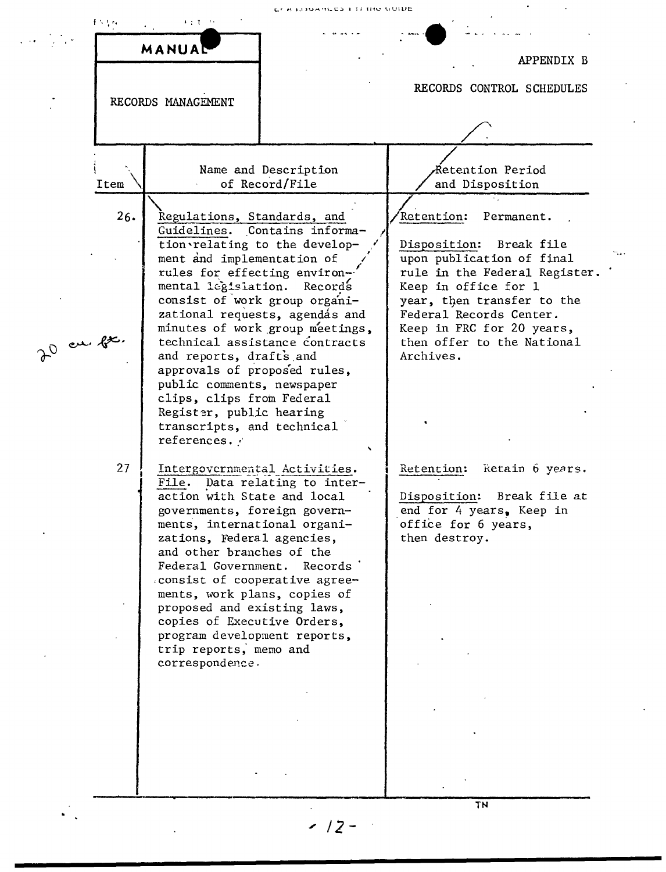ico i frie vubb



*;' 12-*